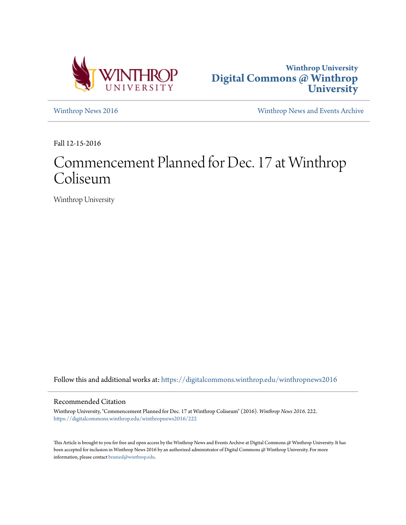



[Winthrop News 2016](https://digitalcommons.winthrop.edu/winthropnews2016?utm_source=digitalcommons.winthrop.edu%2Fwinthropnews2016%2F222&utm_medium=PDF&utm_campaign=PDFCoverPages) [Winthrop News and Events Archive](https://digitalcommons.winthrop.edu/winthropnewsarchives?utm_source=digitalcommons.winthrop.edu%2Fwinthropnews2016%2F222&utm_medium=PDF&utm_campaign=PDFCoverPages)

Fall 12-15-2016

## Commencement Planned for Dec. 17 at Winthrop Coliseum

Winthrop University

Follow this and additional works at: [https://digitalcommons.winthrop.edu/winthropnews2016](https://digitalcommons.winthrop.edu/winthropnews2016?utm_source=digitalcommons.winthrop.edu%2Fwinthropnews2016%2F222&utm_medium=PDF&utm_campaign=PDFCoverPages)

## Recommended Citation

Winthrop University, "Commencement Planned for Dec. 17 at Winthrop Coliseum" (2016). *Winthrop News 2016*. 222. [https://digitalcommons.winthrop.edu/winthropnews2016/222](https://digitalcommons.winthrop.edu/winthropnews2016/222?utm_source=digitalcommons.winthrop.edu%2Fwinthropnews2016%2F222&utm_medium=PDF&utm_campaign=PDFCoverPages)

This Article is brought to you for free and open access by the Winthrop News and Events Archive at Digital Commons @ Winthrop University. It has been accepted for inclusion in Winthrop News 2016 by an authorized administrator of Digital Commons @ Winthrop University. For more information, please contact [bramed@winthrop.edu](mailto:bramed@winthrop.edu).